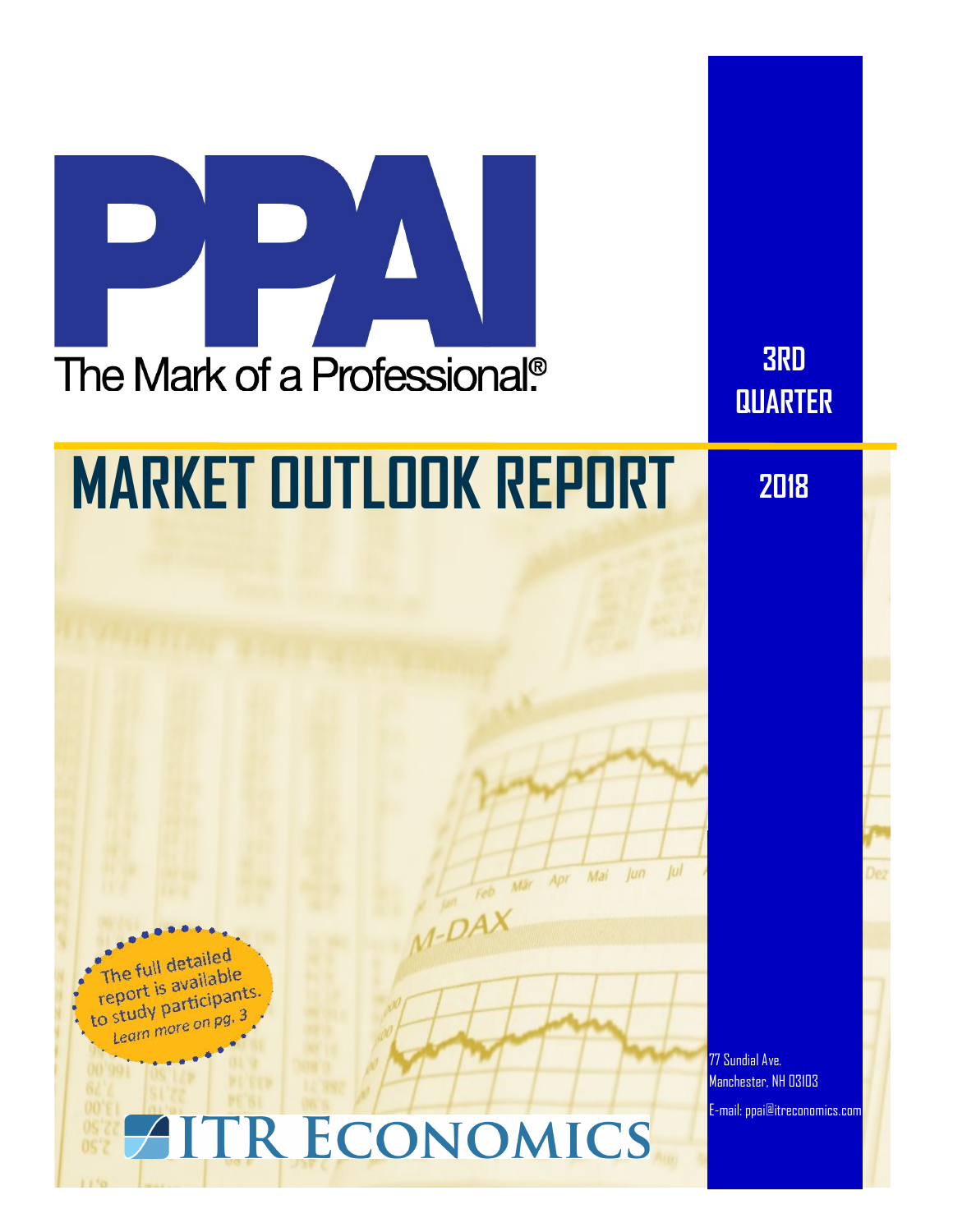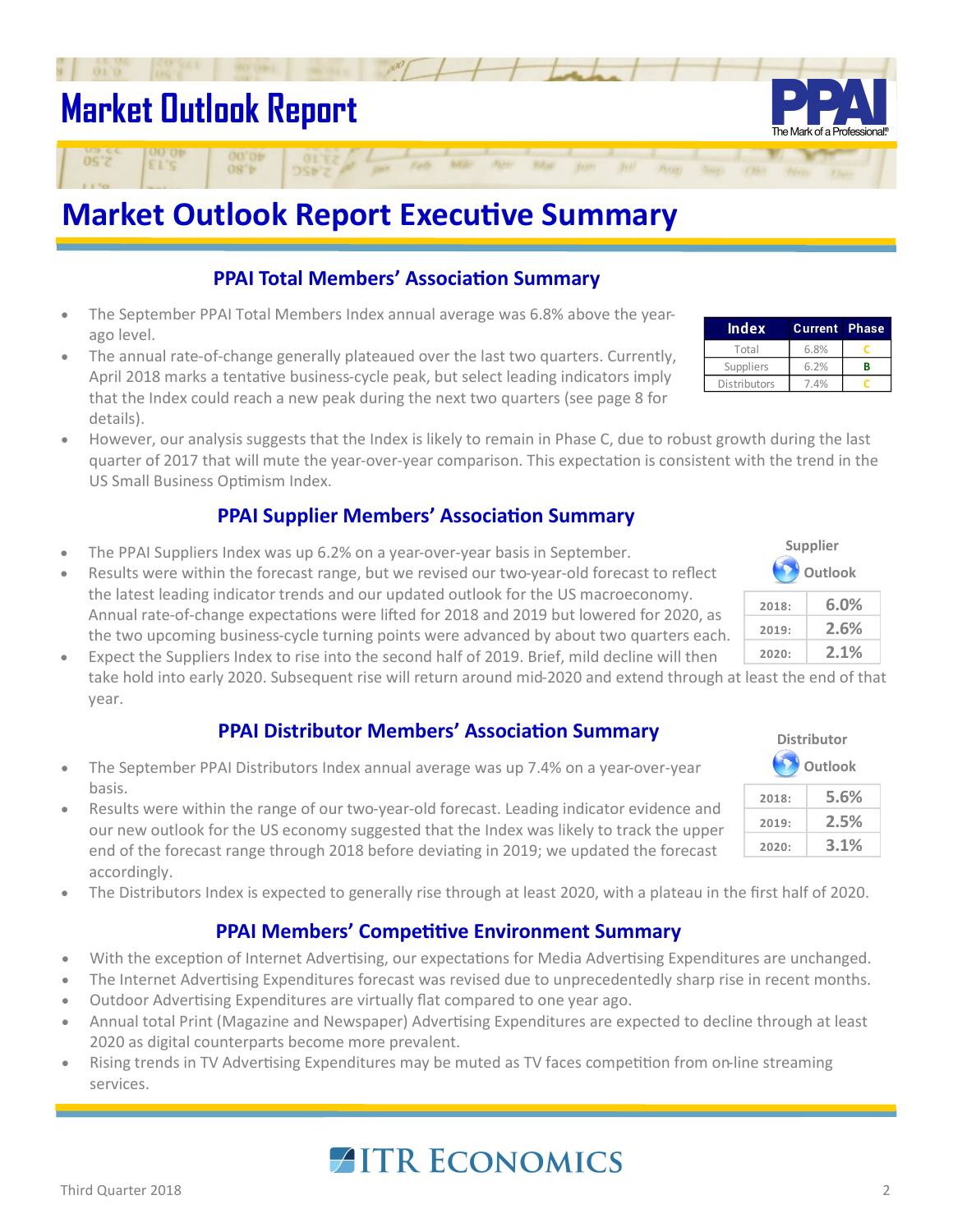## **Market Outlook Report**

### **Market Outlook Report Executive Summary**

#### **PPAI Total Members' Association Summary**

- The September PPAI Total Members Index annual average was 6.8% above the yearago level.
- The annual rate-of-change generally plateaued over the last two quarters. Currently, April 2018 marks a tentative business-cycle peak, but select leading indicators imply that the Index could reach a new peak during the next two quarters (see page 8 for details).
- However, our analysis suggests that the Index is likely to remain in Phase C, due to robust growth during the last quarter of 2017 that will mute the year-over-year comparison. This expectation is consistent with the trend in the US Small Business Optimism Index.

#### **PPAI Supplier Members' Association Summary**

- The PPAI Suppliers Index was up 6.2% on a year-over-year basis in September.
- Results were within the forecast range, but we revised our two-year-old forecast to reflect the latest leading indicator trends and our updated outlook for the US macroeconomy. Annual rate-of-change expectations were lifted for 2018 and 2019 but lowered for 2020, as the two upcoming business-cycle turning points were advanced by about two quarters each.
- Expect the Suppliers Index to rise into the second half of 2019. Brief, mild decline will then take hold into early 2020. Subsequent rise will return around mid-2020 and extend through at least the end of that year.

### **PPAI Distributor Members' Association Summary**

- The September PPAI Distributors Index annual average was up 7.4% on a year-over-year basis.
- Results were within the range of our two-year-old forecast. Leading indicator evidence and our new outlook for the US economy suggested that the Index was likely to track the upper end of the forecast range through 2018 before deviating in 2019; we updated the forecast accordingly.
- The Distributors Index is expected to generally rise through at least 2020, with a plateau in the first half of 2020.

#### **PPAI Members' Competitive Environment Summary**

- With the exception of Internet Advertising, our expectations for Media Advertising Expenditures are unchanged.
- The Internet Advertising Expenditures forecast was revised due to unprecedentedly sharp rise in recent months.
- Outdoor Advertising Expenditures are virtually flat compared to one year ago.
- Annual total Print (Magazine and Newspaper) Advertising Expenditures are expected to decline through at least 2020 as digital counterparts become more prevalent.

**AITR ECONOMICS** 

• Rising trends in TV Advertising Expenditures may be muted as TV faces competition from on-line streaming services.

| Index               | <b>Current Phase</b> |   |
|---------------------|----------------------|---|
| Total               | 6.8%                 |   |
| Suppliers           | 6.2%                 | R |
| <b>Distributors</b> | 7 4%                 |   |

| Supplier<br>Outlook |       |      |
|---------------------|-------|------|
|                     | 2018: | 6.0% |
|                     | 2019: | 2.6% |
|                     | 2020: | 2.1% |

| 2018: | 5.6% |
|-------|------|
| 2019: | 2.5% |
| 2020: | 3.1% |



#### **Distributor Outlook**